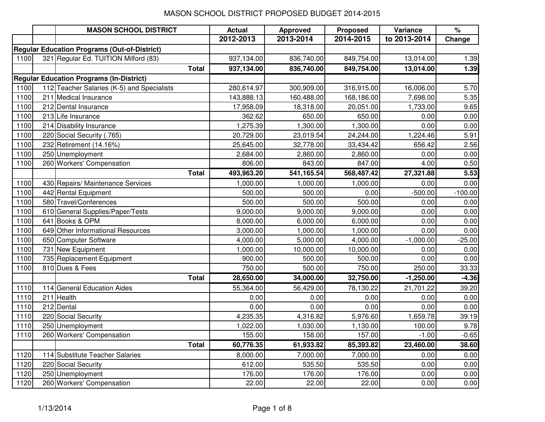|      | <b>MASON SCHOOL DISTRICT</b>                        | <b>Actual</b> | <b>Approved</b> | Proposed   | Variance     | $\%$      |
|------|-----------------------------------------------------|---------------|-----------------|------------|--------------|-----------|
|      |                                                     | 2012-2013     | 2013-2014       | 2014-2015  | to 2013-2014 | Change    |
|      | <b>Regular Education Programs (Out-of-District)</b> |               |                 |            |              |           |
| 1100 | 321 Regular Ed. TUITION Milford (83)                | 937,134.00    | 836,740.00      | 849,754.00 | 13,014.00    | 1.39      |
|      | <b>Total</b>                                        | 937,134.00    | 836,740.00      | 849,754.00 | 13,014.00    | 1.39      |
|      | <b>Regular Education Programs (In-District)</b>     |               |                 |            |              |           |
| 1100 | 112 Teacher Salaries (K-5) and Specialists          | 280,614.97    | 300,909.00      | 316,915.00 | 16,006.00    | 5.70      |
| 1100 | 211 Medical Insurance                               | 143,888.13    | 160,488.00      | 168,186.00 | 7,698.00     | 5.35      |
| 1100 | 212 Dental Insurance                                | 17,958.09     | 18,318.00       | 20,051.00  | 1,733.00     | 9.65      |
| 1100 | 213 Life Insurance                                  | 362.62        | 650.00          | 650.00     | 0.00         | 0.00      |
| 1100 | 214 Disability Insurance                            | 1,275.39      | 1,300.00        | 1,300.00   | 0.00         | 0.00      |
| 1100 | 220 Social Security (.765)                          | 20,729.00     | 23,019.54       | 24,244.00  | 1,224.46     | 5.91      |
| 1100 | 232 Retirement (14.16%)                             | 25,645.00     | 32,778.00       | 33,434.42  | 656.42       | 2.56      |
| 1100 | 250 Unemployment                                    | 2,684.00      | 2,860.00        | 2,860.00   | 0.00         | 0.00      |
| 1100 | 260 Workers' Compensation                           | 806.00        | 843.00          | 847.00     | 4.00         | 0.50      |
|      | <b>Total</b>                                        | 493,963.20    | 541,165.54      | 568,487.42 | 27,321.88    | 5.53      |
| 1100 | 430 Repairs/ Maintenance Services                   | 1,000.00      | 1,000.00        | 1,000.00   | 0.00         | 0.00      |
| 1100 | 442 Rental Equipment                                | 500.00        | 500.00          | 0.00       | $-500.00$    | $-100.00$ |
| 1100 | 580 Travel/Conferences                              | 500.00        | 500.00          | 500.00     | 0.00         | 0.00      |
| 1100 | 610 General Supplies/Paper/Tests                    | 9,000.00      | 9,000.00        | 9,000.00   | 0.00         | 0.00      |
| 1100 | 641 Books & OPM                                     | 8,000.00      | 6,000.00        | 6,000.00   | 0.00         | 0.00      |
| 1100 | 649 Other Informational Resources                   | 3,000.00      | 1,000.00        | 1,000.00   | 0.00         | 0.00      |
| 1100 | 650 Computer Software                               | 4,000.00      | 5,000.00        | 4,000.00   | $-1,000.00$  | $-25.00$  |
| 1100 | 731 New Equipment                                   | 1,000.00      | 10,000.00       | 10,000.00  | 0.00         | 0.00      |
| 1100 | 735 Replacement Equipment                           | 900.00        | 500.00          | 500.00     | 0.00         | 0.00      |
| 1100 | 810 Dues & Fees                                     | 750.00        | 500.00          | 750.00     | 250.00       | 33.33     |
|      | <b>Total</b>                                        | 28,650.00     | 34,000.00       | 32,750.00  | $-1,250.00$  | $-4.36$   |
| 1110 | 114 General Education Aides                         | 55,364.00     | 56,429.00       | 78,130.22  | 21,701.22    | 39.20     |
| 1110 | 211 Health                                          | 0.00          | 0.00            | 0.00       | 0.00         | 0.00      |
| 1110 | 212 Dental                                          | 0.00          | 0.00            | 0.00       | 0.00         | 0.00      |
| 1110 | 220 Social Security                                 | 4,235.35      | 4,316.82        | 5,976.60   | 1,659.78     | 39.19     |
| 1110 | 250 Unemployment                                    | 1,022.00      | 1,030.00        | 1,130.00   | 100.00       | 9.78      |
| 1110 | 260 Workers' Compensation                           | 155.00        | 158.00          | 157.00     | $-1.00$      | $-0.65$   |
|      | <b>Total</b>                                        | 60,776.35     | 61,933.82       | 85,393.82  | 23,460.00    | 38.60     |
| 1120 | 114 Substitute Teacher Salaries                     | 8,000.00      | 7,000.00        | 7,000.00   | 0.00         | 0.00      |
| 1120 | 220 Social Security                                 | 612.00        | 535.50          | 535.50     | 0.00         | 0.00      |
| 1120 | 250 Unemployment                                    | 176.00        | 176.00          | 176.00     | 0.00         | 0.00      |
| 1120 | 260 Workers' Compensation                           | 22.00         | 22.00           | 22.00      | 0.00         | 0.00      |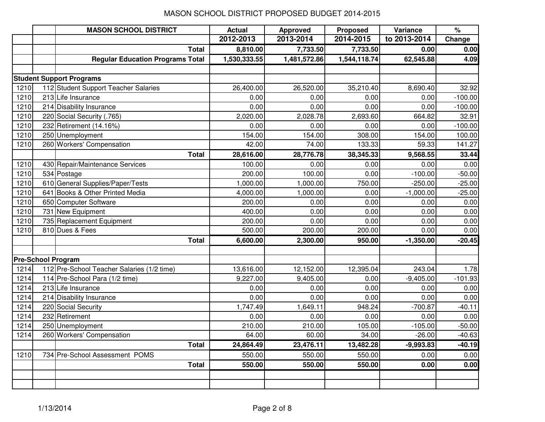|      | <b>MASON SCHOOL DISTRICT</b>               | <b>Actual</b> | <b>Approved</b> | <b>Proposed</b> | Variance     | $\%$      |
|------|--------------------------------------------|---------------|-----------------|-----------------|--------------|-----------|
|      |                                            | 2012-2013     | 2013-2014       | 2014-2015       | to 2013-2014 | Change    |
|      | <b>Total</b>                               | 8,810.00      | 7,733.50        | 7,733.50        | 0.00         | 0.00      |
|      | <b>Regular Education Programs Total</b>    | 1,530,333.55  | 1,481,572.86    | 1,544,118.74    | 62,545.88    | 4.09      |
|      |                                            |               |                 |                 |              |           |
|      | <b>Student Support Programs</b>            |               |                 |                 |              |           |
| 1210 | 112 Student Support Teacher Salaries       | 26,400.00     | 26,520.00       | 35,210.40       | 8,690.40     | 32.92     |
| 1210 | 213 Life Insurance                         | 0.00          | 0.00            | 0.00            | 0.00         | $-100.00$ |
| 1210 | 214 Disability Insurance                   | 0.00          | 0.00            | 0.00            | 0.00         | $-100.00$ |
| 1210 | 220 Social Security (.765)                 | 2,020.00      | 2,028.78        | 2,693.60        | 664.82       | 32.91     |
| 1210 | 232 Retirement (14.16%)                    | 0.00          | 0.00            | 0.00            | 0.00         | $-100.00$ |
| 1210 | 250 Unemployment                           | 154.00        | 154.00          | 308.00          | 154.00       | 100.00    |
| 1210 | 260 Workers' Compensation                  | 42.00         | 74.00           | 133.33          | 59.33        | 141.27    |
|      | <b>Total</b>                               | 28,616.00     | 28,776.78       | 38,345.33       | 9,568.55     | 33.44     |
| 1210 | 430 Repair/Maintenance Services            | 100.00        | 0.00            | 0.00            | 0.00         | 0.00      |
| 1210 | 534 Postage                                | 200.00        | 100.00          | 0.00            | $-100.00$    | $-50.00$  |
| 1210 | 610 General Supplies/Paper/Tests           | 1,000.00      | 1,000.00        | 750.00          | $-250.00$    | $-25.00$  |
| 1210 | 641 Books & Other Printed Media            | 4,000.00      | 1,000.00        | 0.00            | $-1,000.00$  | $-25.00$  |
| 1210 | 650 Computer Software                      | 200.00        | 0.00            | 0.00            | 0.00         | 0.00      |
| 1210 | 731 New Equipment                          | 400.00        | 0.00            | 0.00            | 0.00         | 0.00      |
| 1210 | 735 Replacement Equipment                  | 200.00        | 0.00            | 0.00            | 0.00         | 0.00      |
| 1210 | 810 Dues & Fees                            | 500.00        | 200.00          | 200.00          | 0.00         | 0.00      |
|      | <b>Total</b>                               | 6,600.00      | 2,300.00        | 950.00          | $-1,350.00$  | $-20.45$  |
|      |                                            |               |                 |                 |              |           |
|      | Pre-School Program                         |               |                 |                 |              |           |
| 1214 | 112 Pre-School Teacher Salaries (1/2 time) | 13,616.00     | 12,152.00       | 12,395.04       | 243.04       | 1.78      |
| 1214 | 114 Pre-School Para (1/2 time)             | 9,227.00      | 9,405.00        | 0.00            | $-9,405.00$  | $-101.93$ |
| 1214 | 213 Life Insurance                         | 0.00          | 0.00            | 0.00            | 0.00         | 0.00      |
| 1214 | 214 Disability Insurance                   | 0.00          | 0.00            | 0.00            | 0.00         | 0.00      |
| 1214 | 220 Social Security                        | 1,747.49      | 1,649.11        | 948.24          | $-700.87$    | $-40.11$  |
| 1214 | 232 Retirement                             | 0.00          | 0.00            | 0.00            | 0.00         | 0.00      |
| 1214 | 250 Unemployment                           | 210.00        | 210.00          | 105.00          | $-105.00$    | $-50.00$  |
| 1214 | 260 Workers' Compensation                  | 64.00         | 60.00           | 34.00           | $-26.00$     | $-40.63$  |
|      | <b>Total</b>                               | 24,864.49     | 23,476.11       | 13,482.28       | $-9,993.83$  | $-40.19$  |
| 1210 | 734 Pre-School Assessment POMS             | 550.00        | 550.00          | 550.00          | 0.00         | 0.00      |
|      | <b>Total</b>                               | 550.00        | 550.00          | 550.00          | 0.00         | 0.00      |
|      |                                            |               |                 |                 |              |           |
|      |                                            |               |                 |                 |              |           |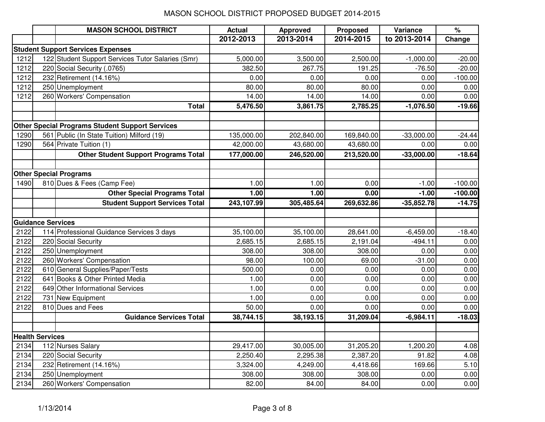|      |                          | <b>MASON SCHOOL DISTRICT</b>                           | <b>Actual</b> | <b>Approved</b> | <b>Proposed</b> | Variance     | $\%$      |
|------|--------------------------|--------------------------------------------------------|---------------|-----------------|-----------------|--------------|-----------|
|      |                          |                                                        | 2012-2013     | 2013-2014       | 2014-2015       | to 2013-2014 | Change    |
|      |                          | <b>Student Support Services Expenses</b>               |               |                 |                 |              |           |
| 1212 |                          | 122 Student Support Services Tutor Salaries (Smr)      | 5,000.00      | 3,500.00        | 2,500.00        | $-1,000.00$  | $-20.00$  |
| 1212 |                          | 220 Social Security (.0765)                            | 382.50        | 267.75          | 191.25          | $-76.50$     | $-20.00$  |
| 1212 |                          | 232 Retirement (14.16%)                                | 0.00          | 0.00            | 0.00            | 0.00         | $-100.00$ |
| 1212 |                          | 250 Unemployment                                       | 80.00         | 80.00           | 80.00           | 0.00         | 0.00      |
| 1212 |                          | 260 Workers' Compensation                              | 14.00         | 14.00           | 14.00           | 0.00         | 0.00      |
|      |                          | <b>Total</b>                                           | 5,476.50      | 3,861.75        | 2,785.25        | $-1,076.50$  | $-19.66$  |
|      |                          |                                                        |               |                 |                 |              |           |
|      |                          | <b>Other Special Programs Student Support Services</b> |               |                 |                 |              |           |
| 1290 |                          | 561 Public (In State Tuition) Milford (19)             | 135,000.00    | 202,840.00      | 169,840.00      | $-33,000.00$ | $-24.44$  |
| 1290 |                          | 564 Private Tuition (1)                                | 42,000.00     | 43,680.00       | 43,680.00       | 0.00         | 0.00      |
|      |                          | <b>Other Student Support Programs Total</b>            | 177,000.00    | 246,520.00      | 213,520.00      | $-33,000.00$ | $-18.64$  |
|      |                          | <b>Other Special Programs</b>                          |               |                 |                 |              |           |
| 1490 |                          | 810 Dues & Fees (Camp Fee)                             | 1.00          | 1.00            | 0.00            | $-1.00$      | $-100.00$ |
|      |                          | <b>Other Special Programs Total</b>                    | 1.00          | 1.00            | 0.00            | $-1.00$      | $-100.00$ |
|      |                          | <b>Student Support Services Total</b>                  | 243,107.99    | 305,485.64      | 269,632.86      | $-35,852.78$ | $-14.75$  |
|      |                          |                                                        |               |                 |                 |              |           |
|      | <b>Guidance Services</b> |                                                        |               |                 |                 |              |           |
| 2122 |                          | 114 Professional Guidance Services 3 days              | 35,100.00     | 35,100.00       | 28,641.00       | $-6,459.00$  | $-18.40$  |
| 2122 |                          | 220 Social Security                                    | 2,685.15      | 2,685.15        | 2,191.04        | $-494.11$    | 0.00      |
| 2122 |                          | 250 Unemployment                                       | 308.00        | 308.00          | 308.00          | 0.00         | 0.00      |
| 2122 |                          | 260 Workers' Compensation                              | 98.00         | 100.00          | 69.00           | $-31.00$     | 0.00      |
| 2122 |                          | 610 General Supplies/Paper/Tests                       | 500.00        | 0.00            | 0.00            | 0.00         | 0.00      |
| 2122 |                          | 641 Books & Other Printed Media                        | 1.00          | 0.00            | 0.00            | 0.00         | 0.00      |
| 2122 |                          | 649 Other Informational Services                       | 1.00          | 0.00            | 0.00            | 0.00         | 0.00      |
| 2122 | 731                      | New Equipment                                          | 1.00          | 0.00            | 0.00            | 0.00         | 0.00      |
| 2122 |                          | 810 Dues and Fees                                      | 50.00         | 0.00            | 0.00            | 0.00         | 0.00      |
|      |                          | <b>Guidance Services Total</b>                         | 38,744.15     | 38,193.15       | 31,209.04       | $-6,984.11$  | $-18.03$  |
|      |                          |                                                        |               |                 |                 |              |           |
|      | <b>Health Services</b>   |                                                        |               |                 |                 |              |           |
| 2134 |                          | 112 Nurses Salary                                      | 29,417.00     | 30,005.00       | 31,205.20       | 1,200.20     | 4.08      |
| 2134 |                          | 220 Social Security                                    | 2,250.40      | 2,295.38        | 2,387.20        | 91.82        | 4.08      |
| 2134 |                          | 232 Retirement (14.16%)                                | 3,324.00      | 4,249.00        | 4,418.66        | 169.66       | 5.10      |
| 2134 |                          | 250 Unemployment                                       | 308.00        | 308.00          | 308.00          | 0.00         | 0.00      |
| 2134 |                          | 260 Workers' Compensation                              | 82.00         | 84.00           | 84.00           | 0.00         | 0.00      |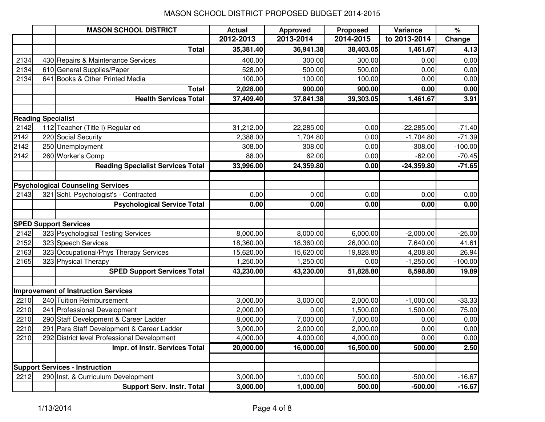|      |                           | <b>MASON SCHOOL DISTRICT</b>                | <b>Actual</b> | Approved  | <b>Proposed</b> | Variance     | $\%$      |
|------|---------------------------|---------------------------------------------|---------------|-----------|-----------------|--------------|-----------|
|      |                           |                                             | 2012-2013     | 2013-2014 | 2014-2015       | to 2013-2014 | Change    |
|      |                           | <b>Total</b>                                | 35,381.40     | 36,941.38 | 38,403.05       | 1,461.67     | 4.13      |
| 2134 |                           | 430 Repairs & Maintenance Services          | 400.00        | 300.00    | 300.00          | 0.00         | 0.00      |
| 2134 |                           | 610 General Supplies/Paper                  | 528.00        | 500.00    | 500.00          | 0.00         | 0.00      |
| 2134 |                           | 641 Books & Other Printed Media             | 100.00        | 100.00    | 100.00          | 0.00         | 0.00      |
|      |                           | <b>Total</b>                                | 2,028.00      | 900.00    | 900.00          | 0.00         | 0.00      |
|      |                           | <b>Health Services Total</b>                | 37,409.40     | 37,841.38 | 39,303.05       | 1,461.67     | 3.91      |
|      |                           |                                             |               |           |                 |              |           |
|      | <b>Reading Specialist</b> |                                             |               |           |                 |              |           |
| 2142 |                           | 112 Teacher (Title I) Regular ed            | 31,212.00     | 22,285.00 | 0.00            | $-22,285.00$ | $-71.40$  |
| 2142 |                           | 220 Social Security                         | 2,388.00      | 1,704.80  | 0.00            | $-1,704.80$  | $-71.39$  |
| 2142 |                           | 250 Unemployment                            | 308.00        | 308.00    | 0.00            | $-308.00$    | $-100.00$ |
| 2142 |                           | 260 Worker's Comp                           | 88.00         | 62.00     | 0.00            | $-62.00$     | $-70.45$  |
|      |                           | <b>Reading Specialist Services Total</b>    | 33,996.00     | 24,359.80 | 0.00            | $-24,359.80$ | $-71.65$  |
|      |                           |                                             |               |           |                 |              |           |
|      |                           | <b>Psychological Counseling Services</b>    |               |           |                 |              |           |
| 2143 |                           | 321 Schl. Psychologist's - Contracted       | 0.00          | 0.00      | 0.00            | 0.00         | 0.00      |
|      |                           | <b>Psychological Service Total</b>          | 0.00          | 0.00      | 0.00            | 0.00         | 0.00      |
|      |                           |                                             |               |           |                 |              |           |
|      |                           | <b>SPED Support Services</b>                |               |           |                 |              |           |
| 2142 |                           | 323 Psychological Testing Services          | 8,000.00      | 8,000.00  | 6,000.00        | $-2,000.00$  | $-25.00$  |
| 2152 |                           | 323 Speech Services                         | 18,360.00     | 18,360.00 | 26,000.00       | 7,640.00     | 41.61     |
| 2163 |                           | 323 Occupational/Phys Therapy Services      | 15,620.00     | 15,620.00 | 19,828.80       | 4,208.80     | 26.94     |
| 2165 |                           | 323 Physical Therapy                        | 1,250.00      | 1,250.00  | 0.00            | $-1,250.00$  | $-100.00$ |
|      |                           | <b>SPED Support Services Total</b>          | 43,230.00     | 43,230.00 | 51,828.80       | 8,598.80     | 19.89     |
|      |                           |                                             |               |           |                 |              |           |
|      |                           | <b>Improvement of Instruction Services</b>  |               |           |                 |              |           |
| 2210 |                           | 240 Tuition Reimbursement                   | 3,000.00      | 3,000.00  | 2,000.00        | $-1,000.00$  | $-33.33$  |
| 2210 |                           | 241 Professional Development                | 2,000.00      | 0.00      | 1,500.00        | 1,500.00     | 75.00     |
| 2210 |                           | 290 Staff Development & Career Ladder       | 8,000.00      | 7,000.00  | 7,000.00        | 0.00         | 0.00      |
| 2210 |                           | 291 Para Staff Development & Career Ladder  | 3,000.00      | 2,000.00  | 2,000.00        | 0.00         | 0.00      |
| 2210 |                           | 292 District level Professional Development | 4,000.00      | 4,000.00  | 4,000.00        | 0.00         | 0.00      |
|      |                           | Impr. of Instr. Services Total              | 20,000.00     | 16,000.00 | 16,500.00       | 500.00       | 2.50      |
|      |                           |                                             |               |           |                 |              |           |
|      |                           | <b>Support Services - Instruction</b>       |               |           |                 |              |           |
| 2212 |                           | 290 Inst. & Curriculum Development          | 3,000.00      | 1,000.00  | 500.00          | $-500.00$    | $-16.67$  |
|      |                           | <b>Support Serv. Instr. Total</b>           | 3,000.00      | 1,000.00  | 500.00          | $-500.00$    | $-16.67$  |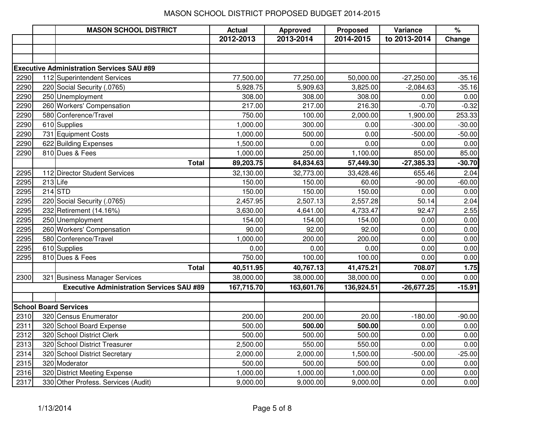|      |          | <b>MASON SCHOOL DISTRICT</b>                     | <b>Actual</b> | <b>Approved</b> | Proposed   | Variance     | $\%$     |
|------|----------|--------------------------------------------------|---------------|-----------------|------------|--------------|----------|
|      |          |                                                  | 2012-2013     | 2013-2014       | 2014-2015  | to 2013-2014 | Change   |
|      |          |                                                  |               |                 |            |              |          |
|      |          |                                                  |               |                 |            |              |          |
|      |          | <b>Executive Administration Services SAU #89</b> |               |                 |            |              |          |
| 2290 |          | 112 Superintendent Services                      | 77,500.00     | 77,250.00       | 50,000.00  | $-27,250.00$ | $-35.16$ |
| 2290 |          | 220 Social Security (.0765)                      | 5,928.75      | 5,909.63        | 3,825.00   | $-2,084.63$  | $-35.16$ |
| 2290 |          | 250 Unemployment                                 | 308.00        | 308.00          | 308.00     | 0.00         | 0.00     |
| 2290 |          | 260 Workers' Compensation                        | 217.00        | 217.00          | 216.30     | $-0.70$      | $-0.32$  |
| 2290 |          | 580 Conference/Travel                            | 750.00        | 100.00          | 2,000.00   | 1,900.00     | 253.33   |
| 2290 |          | 610 Supplies                                     | 1,000.00      | 300.00          | 0.00       | $-300.00$    | $-30.00$ |
| 2290 |          | 731 Equipment Costs                              | 1,000.00      | 500.00          | 0.00       | $-500.00$    | $-50.00$ |
| 2290 |          | 622 Building Expenses                            | 1,500.00      | 0.00            | 0.00       | 0.00         | 0.00     |
| 2290 |          | 810 Dues & Fees                                  | 1,000.00      | 250.00          | 1,100.00   | 850.00       | 85.00    |
|      |          | <b>Total</b>                                     | 89,203.75     | 84,834.63       | 57,449.30  | $-27,385.33$ | $-30.70$ |
| 2295 |          | 112 Director Student Services                    | 32,130.00     | 32,773.00       | 33,428.46  | 655.46       | 2.04     |
| 2295 | 213 Life |                                                  | 150.00        | 150.00          | 60.00      | $-90.00$     | $-60.00$ |
| 2295 |          | $214$ STD                                        | 150.00        | 150.00          | 150.00     | 0.00         | 0.00     |
| 2295 |          | 220 Social Security (.0765)                      | 2,457.95      | 2,507.13        | 2,557.28   | 50.14        | 2.04     |
| 2295 |          | 232 Retirement (14.16%)                          | 3,630.00      | 4,641.00        | 4,733.47   | 92.47        | 2.55     |
| 2295 |          | 250 Unemployment                                 | 154.00        | 154.00          | 154.00     | 0.00         | 0.00     |
| 2295 |          | 260 Workers' Compensation                        | 90.00         | 92.00           | 92.00      | 0.00         | 0.00     |
| 2295 |          | 580 Conference/Travel                            | 1,000.00      | 200.00          | 200.00     | 0.00         | 0.00     |
| 2295 |          | 610 Supplies                                     | 0.00          | 0.00            | 0.00       | 0.00         | 0.00     |
| 2295 |          | 810 Dues & Fees                                  | 750.00        | 100.00          | 100.00     | 0.00         | 0.00     |
|      |          | <b>Total</b>                                     | 40,511.95     | 40,767.13       | 41,475.21  | 708.07       | 1.75     |
| 2300 |          | 321 Business Manager Services                    | 38,000.00     | 38,000.00       | 38,000.00  | 0.00         | 0.00     |
|      |          | <b>Executive Administration Services SAU #89</b> | 167,715.70    | 163,601.76      | 136,924.51 | $-26,677.25$ | $-15.91$ |
|      |          |                                                  |               |                 |            |              |          |
|      |          | <b>School Board Services</b>                     |               |                 |            |              |          |
| 2310 |          | 320 Census Enumerator                            | 200.00        | 200.00          | 20.00      | $-180.00$    | $-90.00$ |
| 2311 |          | 320 School Board Expense                         | 500.00        | 500.00          | 500.00     | 0.00         | 0.00     |
| 2312 |          | 320 School District Clerk                        | 500.00        | 500.00          | 500.00     | 0.00         | 0.00     |
| 2313 |          | 320 School District Treasurer                    | 2,500.00      | 550.00          | 550.00     | 0.00         | 0.00     |
| 2314 |          | 320 School District Secretary                    | 2,000.00      | 2,000.00        | 1,500.00   | $-500.00$    | $-25.00$ |
| 2315 |          | 320 Moderator                                    | 500.00        | 500.00          | 500.00     | 0.00         | 0.00     |
| 2316 |          | 320 District Meeting Expense                     | 1,000.00      | 1,000.00        | 1,000.00   | 0.00         | 0.00     |
| 2317 |          | 330 Other Profess. Services (Audit)              | 9,000.00      | 9,000.00        | 9,000.00   | 0.00         | 0.00     |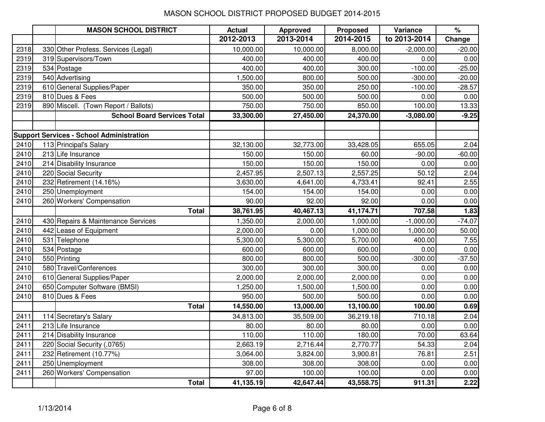|      | <b>MASON SCHOOL DISTRICT</b>                    | <b>Actual</b> | <b>Approved</b> | <b>Proposed</b> | Variance     | $\%$     |
|------|-------------------------------------------------|---------------|-----------------|-----------------|--------------|----------|
|      |                                                 | 2012-2013     | 2013-2014       | 2014-2015       | to 2013-2014 | Change   |
| 2318 | 330 Other Profess. Services (Legal)             | 10,000.00     | 10,000.00       | 8,000.00        | $-2,000.00$  | $-20.00$ |
| 2319 | 319 Supervisors/Town                            | 400.00        | 400.00          | 400.00          | 0.00         | 0.00     |
| 2319 | 534 Postage                                     | 400.00        | 400.00          | 300.00          | $-100.00$    | $-25.00$ |
| 2319 | 540 Advertising                                 | 1,500.00      | 800.00          | 500.00          | $-300.00$    | $-20.00$ |
| 2319 | 610 General Supplies/Paper                      | 350.00        | 350.00          | 250.00          | $-100.00$    | $-28.57$ |
| 2319 | 810 Dues & Fees                                 | 500.00        | 500.00          | 500.00          | 0.00         | 0.00     |
| 2319 | 890 Miscell. (Town Report / Ballots)            | 750.00        | 750.00          | 850.00          | 100.00       | 13.33    |
|      | <b>School Board Services Total</b>              | 33,300.00     | 27,450.00       | 24,370.00       | $-3,080.00$  | $-9.25$  |
|      |                                                 |               |                 |                 |              |          |
|      | <b>Support Services - School Administration</b> |               |                 |                 |              |          |
| 2410 | 113 Principal's Salary                          | 32,130.00     | 32,773.00       | 33,428.05       | 655.05       | 2.04     |
| 2410 | 213 Life Insurance                              | 150.00        | 150.00          | 60.00           | $-90.00$     | $-60.00$ |
| 2410 | 214 Disability Insurance                        | 150.00        | 150.00          | 150.00          | 0.00         | 0.00     |
| 2410 | 220 Social Security                             | 2,457.95      | 2,507.13        | 2,557.25        | 50.12        | 2.04     |
| 2410 | 232 Retirement (14.16%)                         | 3,630.00      | 4,641.00        | 4,733.41        | 92.41        | 2.55     |
| 2410 | 250 Unemployment                                | 154.00        | 154.00          | 154.00          | 0.00         | 0.00     |
| 2410 | 260 Workers' Compensation                       | 90.00         | 92.00           | 92.00           | 0.00         | 0.00     |
|      | <b>Total</b>                                    | 38,761.95     | 40,467.13       | 41,174.71       | 707.58       | 1.83     |
| 2410 | 430 Repairs & Maintenance Services              | 1,350.00      | 2,000.00        | 1,000.00        | $-1,000.00$  | $-74.07$ |
| 2410 | 442 Lease of Equipment                          | 2,000.00      | 0.00            | 1,000.00        | 1,000.00     | 50.00    |
| 2410 | 531 Telephone                                   | 5,300.00      | 5,300.00        | 5,700.00        | 400.00       | 7.55     |
| 2410 | 534 Postage                                     | 600.00        | 600.00          | 600.00          | 0.00         | 0.00     |
| 2410 | 550 Printing                                    | 800.00        | 800.00          | 500.00          | $-300.00$    | $-37.50$ |
| 2410 | 580 Travel/Conferences                          | 300.00        | 300.00          | 300.00          | 0.00         | 0.00     |
| 2410 | 610 General Supplies/Paper                      | 2,000.00      | 2,000.00        | 2,000.00        | 0.00         | 0.00     |
| 2410 | 650 Computer Software (BMSI)                    | 1,250.00      | 1,500.00        | 1,500.00        | 0.00         | 0.00     |
| 2410 | 810 Dues & Fees                                 | 950.00        | 500.00          | 500.00          | 0.00         | 0.00     |
|      | <b>Total</b>                                    | 14,550.00     | 13,000.00       | 13,100.00       | 100.00       | 0.69     |
| 2411 | 114 Secretary's Salary                          | 34,813.00     | 35,509.00       | 36,219.18       | 710.18       | 2.04     |
| 2411 | 213 Life Insurance                              | 80.00         | 80.00           | 80.00           | 0.00         | 0.00     |
| 2411 | 214 Disability Insurance                        | 110.00        | 110.00          | 180.00          | 70.00        | 63.64    |
| 2411 | 220 Social Security (.0765)                     | 2,663.19      | 2,716.44        | 2,770.77        | 54.33        | 2.04     |
| 2411 | 232 Retirement (10.77%)                         | 3,064.00      | 3,824.00        | 3,900.81        | 76.81        | 2.51     |
| 2411 | 250 Unemployment                                | 308.00        | 308.00          | 308.00          | 0.00         | 0.00     |
| 2411 | 260 Workers' Compensation                       | 97.00         | 100.00          | 100.00          | 0.00         | 0.00     |
|      | <b>Total</b>                                    | 41,135.19     | 42,647.44       | 43,558.75       | 911.31       | 2.22     |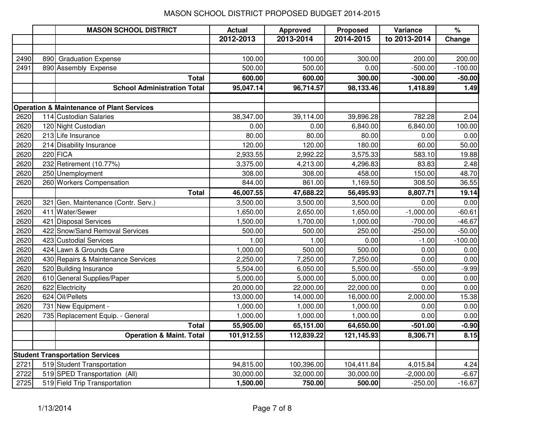|      |     | <b>MASON SCHOOL DISTRICT</b>                         | <b>Actual</b> | <b>Approved</b> | <b>Proposed</b> | Variance     | $\%$      |
|------|-----|------------------------------------------------------|---------------|-----------------|-----------------|--------------|-----------|
|      |     |                                                      | 2012-2013     | 2013-2014       | 2014-2015       | to 2013-2014 | Change    |
|      |     |                                                      |               |                 |                 |              |           |
| 2490 | 890 | <b>Graduation Expense</b>                            | 100.00        | 100.00          | 300.00          | 200.00       | 200.00    |
| 2491 |     | 890 Assembly Expense                                 | 500.00        | 500.00          | 0.00            | $-500.00$    | $-100.00$ |
|      |     | <b>Total</b>                                         | 600.00        | 600.00          | 300.00          | $-300.00$    | $-50.00$  |
|      |     | <b>School Administration Total</b>                   | 95,047.14     | 96,714.57       | 98,133.46       | 1,418.89     | 1.49      |
|      |     |                                                      |               |                 |                 |              |           |
|      |     | <b>Operation &amp; Maintenance of Plant Services</b> |               |                 |                 |              |           |
| 2620 |     | 114 Custodian Salaries                               | 38,347.00     | 39,114.00       | 39,896.28       | 782.28       | 2.04      |
| 2620 |     | 120 Night Custodian                                  | 0.00          | 0.00            | 6,840.00        | 6,840.00     | 100.00    |
| 2620 |     | 213 Life Insurance                                   | 80.00         | 80.00           | 80.00           | 0.00         | 0.00      |
| 2620 |     | 214 Disability Insurance                             | 120.00        | 120.00          | 180.00          | 60.00        | 50.00     |
| 2620 |     | 220 FICA                                             | 2,933.55      | 2,992.22        | 3,575.33        | 583.10       | 19.88     |
| 2620 |     | 232 Retirement (10.77%)                              | 3,375.00      | 4,213.00        | 4,296.83        | 83.83        | 2.48      |
| 2620 |     | 250 Unemployment                                     | 308.00        | 308.00          | 458.00          | 150.00       | 48.70     |
| 2620 |     | 260 Workers Compensation                             | 844.00        | 861.00          | 1,169.50        | 308.50       | 36.55     |
|      |     | <b>Total</b>                                         | 46,007.55     | 47,688.22       | 56,495.93       | 8,807.71     | 19.14     |
| 2620 |     | 321 Gen. Maintenance (Contr. Serv.)                  | 3,500.00      | 3,500.00        | 3,500.00        | 0.00         | 0.00      |
| 2620 |     | 411 Water/Sewer                                      | 1,650.00      | 2,650.00        | 1,650.00        | $-1,000.00$  | $-60.61$  |
| 2620 |     | 421 Disposal Services                                | 1,500.00      | 1,700.00        | 1,000.00        | $-700.00$    | $-46.67$  |
| 2620 |     | 422 Snow/Sand Removal Services                       | 500.00        | 500.00          | 250.00          | $-250.00$    | $-50.00$  |
| 2620 |     | 423 Custodial Services                               | 1.00          | 1.00            | 0.00            | $-1.00$      | $-100.00$ |
| 2620 |     | 424 Lawn & Grounds Care                              | 1,000.00      | 500.00          | 500.00          | 0.00         | 0.00      |
| 2620 |     | 430 Repairs & Maintenance Services                   | 2,250.00      | 7,250.00        | 7,250.00        | 0.00         | 0.00      |
| 2620 |     | 520 Building Insurance                               | 5,504.00      | 6,050.00        | 5,500.00        | $-550.00$    | $-9.99$   |
| 2620 |     | 610 General Supplies/Paper                           | 5,000.00      | 5,000.00        | 5,000.00        | 0.00         | 0.00      |
| 2620 |     | 622 Electricity                                      | 20,000.00     | 22,000.00       | 22,000.00       | 0.00         | 0.00      |
| 2620 |     | 624 Oil/Pellets                                      | 13,000.00     | 14,000.00       | 16,000.00       | 2,000.00     | 15.38     |
| 2620 |     | 731 New Equipment -                                  | 1,000.00      | 1,000.00        | 1,000.00        | 0.00         | 0.00      |
| 2620 |     | 735 Replacement Equip. - General                     | 1,000.00      | 1,000.00        | 1,000.00        | 0.00         | 0.00      |
|      |     | <b>Total</b>                                         | 55,905.00     | 65,151.00       | 64,650.00       | $-501.00$    | $-0.90$   |
|      |     | <b>Operation &amp; Maint. Total</b>                  | 101,912.55    | 112,839.22      | 121,145.93      | 8,306.71     | 8.15      |
|      |     |                                                      |               |                 |                 |              |           |
|      |     | <b>Student Transportation Services</b>               |               |                 |                 |              |           |
| 2721 |     | 519 Student Transportation                           | 94,815.00     | 100,396.00      | 104,411.84      | 4,015.84     | 4.24      |
| 2722 |     | 519 SPED Transportation (All)                        | 30,000.00     | 32,000.00       | 30,000.00       | $-2,000.00$  | $-6.67$   |
| 2725 |     | 519 Field Trip Transportation                        | 1,500.00      | 750.00          | 500.00          | $-250.00$    | $-16.67$  |